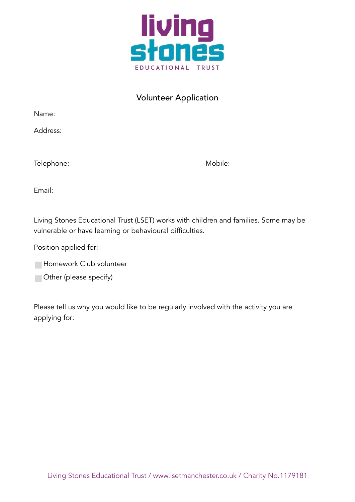

## Volunteer Application

Name:

Address:

| Telephone: | Mobile: |
|------------|---------|
|            |         |

Email:

Living Stones Educational Trust (LSET) works with children and families. Some may be vulnerable or have learning or behavioural difficulties.

Position applied for:

◻ Other (please specify)

Please tell us why you would like to be regularly involved with the activity you are applying for: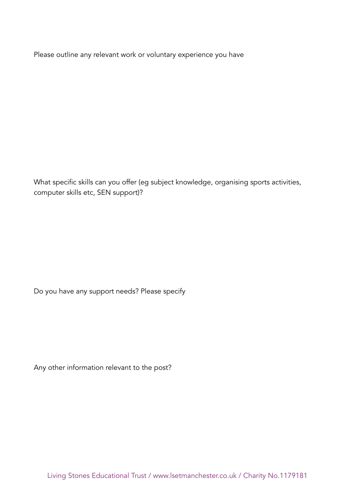Please outline any relevant work or voluntary experience you have

What specific skills can you offer (eg subject knowledge, organising sports activities, computer skills etc, SEN support)?

Do you have any support needs? Please specify

Any other information relevant to the post?